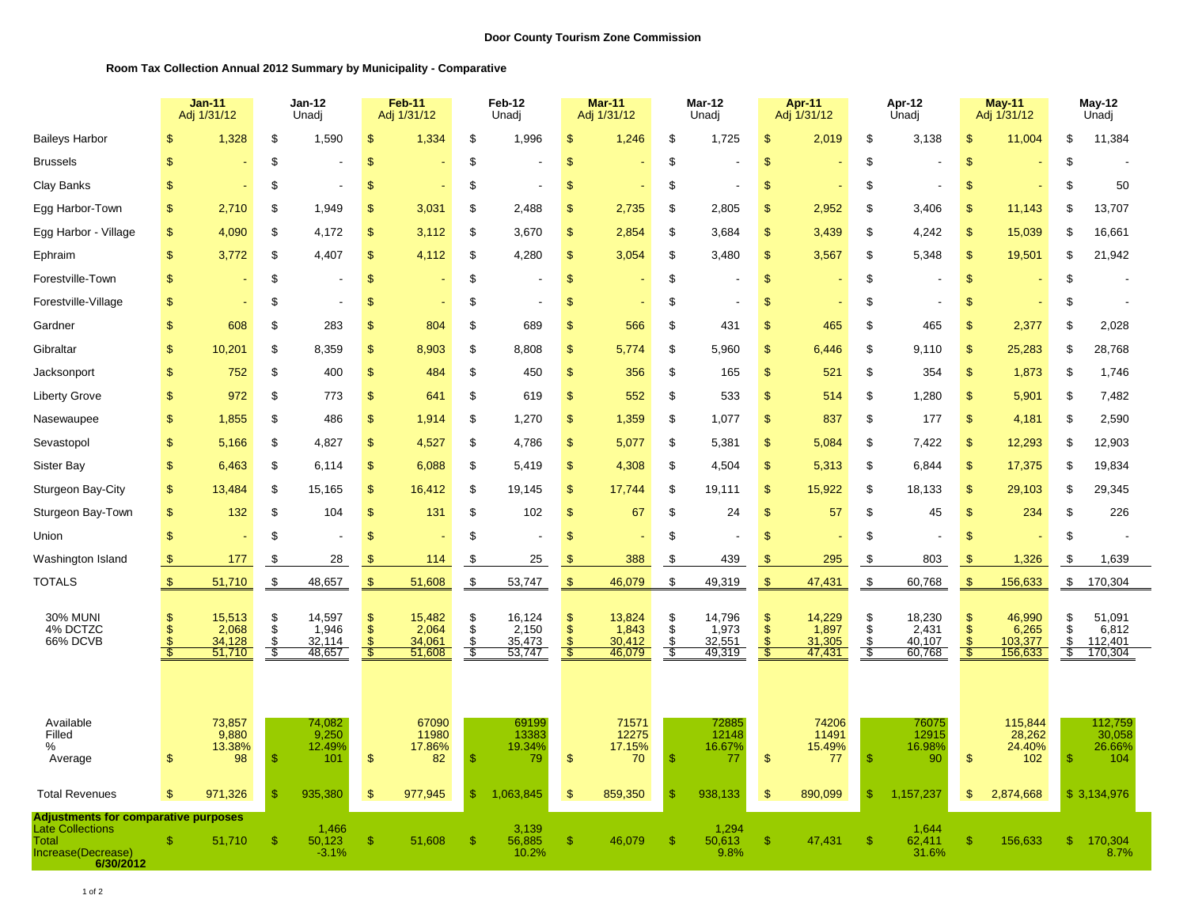## **Room Tax Collection Annual 2012 Summary by Municipality - Comparative**

|                                                                                                                    | <b>Jan-11</b><br>Adj 1/31/12 |                                     | $Jan-12$<br>Unadj          |                                     | Feb-11<br>Adj 1/31/12                                   |                                     | Feb-12<br>Unadj                 |                                     | <b>Mar-11</b><br>Adj 1/31/12                 |                                     | Mar-12<br>Unadj    |                                     | Apr-11<br>Adj 1/31/12                              |                                     | Apr-12<br>Unadj                      |                                     | <b>May-11</b><br>Adj 1/31/12            |                                       | May-12<br>Unadj       |                                       |
|--------------------------------------------------------------------------------------------------------------------|------------------------------|-------------------------------------|----------------------------|-------------------------------------|---------------------------------------------------------|-------------------------------------|---------------------------------|-------------------------------------|----------------------------------------------|-------------------------------------|--------------------|-------------------------------------|----------------------------------------------------|-------------------------------------|--------------------------------------|-------------------------------------|-----------------------------------------|---------------------------------------|-----------------------|---------------------------------------|
| <b>Baileys Harbor</b>                                                                                              | <sup>\$</sup>                | 1,328                               | \$                         | 1,590                               | \$                                                      | 1,334                               | \$                              | 1,996                               | \$                                           | 1,246                               | \$                 | 1,725                               | \$                                                 | 2,019                               | \$                                   | 3,138                               | \$                                      | 11,004                                | \$                    | 11,384                                |
| <b>Brussels</b>                                                                                                    | $\mathfrak{S}$               |                                     | \$                         |                                     | $\mathfrak{s}$                                          |                                     | \$                              |                                     | $\mathfrak{s}$                               |                                     | \$                 |                                     | $\mathfrak{s}$                                     |                                     | \$                                   |                                     | \$                                      |                                       | \$                    |                                       |
| Clay Banks                                                                                                         | $\mathbf{\$}$                |                                     | \$                         | $\overline{\phantom{a}}$            | \$                                                      |                                     | \$                              |                                     | \$                                           |                                     | \$                 |                                     | \$                                                 |                                     | \$                                   |                                     | \$                                      | ÷                                     | \$                    | 50                                    |
| Egg Harbor-Town                                                                                                    | $\mathfrak{F}$               | 2,710                               | S                          | 1,949                               | \$                                                      | 3,031                               | \$                              | 2,488                               | $\mathbb{S}$                                 | 2,735                               | \$                 | 2,805                               | \$                                                 | 2,952                               | \$                                   | 3,406                               | $\mathbb{S}$                            | 11,143                                | \$                    | 13,707                                |
| Egg Harbor - Village                                                                                               | $\mathfrak{F}$               | 4,090                               | \$                         | 4,172                               | \$                                                      | 3,112                               | \$                              | 3,670                               | \$                                           | 2,854                               | \$                 | 3,684                               | $\mathbf{s}$                                       | 3,439                               | \$                                   | 4,242                               | $\mathfrak{s}$                          | 15,039                                | \$                    | 16,661                                |
| Ephraim                                                                                                            | $\mathfrak{S}$               | 3,772                               | \$                         | 4,407                               | $\mathbf{s}$                                            | 4,112                               | \$                              | 4,280                               | \$                                           | 3,054                               | \$                 | 3,480                               | \$                                                 | 3,567                               | \$                                   | 5,348                               | \$                                      | 19,501                                | \$                    | 21,942                                |
| Forestville-Town                                                                                                   | $\mathfrak{F}$               |                                     | \$                         |                                     | $\mathcal{S}$                                           |                                     | \$                              |                                     | $\mathbb{S}$                                 |                                     | \$                 |                                     | $\mathfrak{s}$                                     |                                     | \$                                   |                                     | \$                                      |                                       | \$                    |                                       |
| Forestville-Village                                                                                                | \$                           |                                     | \$                         |                                     | \$                                                      |                                     | \$                              |                                     | \$                                           |                                     | \$                 |                                     | $\mathfrak{s}$                                     |                                     | \$                                   |                                     | \$                                      |                                       | \$                    |                                       |
| Gardner                                                                                                            | <sup>\$</sup>                | 608                                 | \$                         | 283                                 | \$                                                      | 804                                 | S                               | 689                                 | $\mathbb{S}$                                 | 566                                 | \$                 | 431                                 | <sup>\$</sup>                                      | 465                                 | \$                                   | 465                                 | $\mathbb{S}$                            | 2,377                                 | \$                    | 2,028                                 |
| Gibraltar                                                                                                          | $\mathfrak{S}$               | 10,201                              | \$                         | 8,359                               | $\mathfrak{s}$                                          | 8,903                               | \$                              | 8,808                               | \$                                           | 5,774                               | \$                 | 5,960                               | $\mathfrak{S}$                                     | 6,446                               | \$                                   | 9,110                               | \$                                      | 25,283                                | \$                    | 28,768                                |
| Jacksonport                                                                                                        | \$                           | 752                                 | \$                         | 400                                 | $\mathbf{s}$                                            | 484                                 | \$                              | 450                                 | \$                                           | 356                                 | \$                 | 165                                 | \$                                                 | 521                                 | \$                                   | 354                                 | \$                                      | 1,873                                 | \$                    | 1,746                                 |
| <b>Liberty Grove</b>                                                                                               | $\mathfrak{F}$               | 972                                 | \$                         | 773                                 | $\mathfrak{s}$                                          | 641                                 | \$                              | 619                                 | \$                                           | 552                                 | \$                 | 533                                 | \$                                                 | 514                                 | \$                                   | 1,280                               | \$                                      | 5,901                                 | \$                    | 7,482                                 |
| Nasewaupee                                                                                                         | $\mathfrak{S}$               | 1,855                               | \$                         | 486                                 | \$                                                      | 1,914                               | \$                              | 1,270                               | \$                                           | 1,359                               | \$                 | 1,077                               | $\mathbf{s}$                                       | 837                                 | \$                                   | 177                                 | \$                                      | 4,181                                 | \$                    | 2,590                                 |
| Sevastopol                                                                                                         | $\mathfrak{S}$               | 5,166                               | \$                         | 4,827                               | $\mathfrak{s}$                                          | 4,527                               | \$                              | 4,786                               | $\mathfrak{s}$                               | 5,077                               | \$                 | 5,381                               | <sup>\$</sup>                                      | 5,084                               | \$                                   | 7,422                               | $\mathbb{S}$                            | 12,293                                | \$                    | 12,903                                |
| Sister Bay                                                                                                         | $\mathfrak{F}$               | 6,463                               | \$                         | 6,114                               | $\mathcal{S}$                                           | 6,088                               | \$                              | 5,419                               | $\mathbb{S}$                                 | 4,308                               | \$                 | 4,504                               | \$                                                 | 5,313                               | \$                                   | 6,844                               | \$                                      | 17,375                                | \$                    | 19,834                                |
| Sturgeon Bay-City                                                                                                  | $\mathfrak{S}$               | 13,484                              | \$                         | 15,165                              | \$                                                      | 16,412                              | \$                              | 19,145                              | \$                                           | 17,744                              | \$                 | 19,111                              | $\mathfrak{s}$                                     | 15,922                              | \$                                   | 18,133                              | \$                                      | 29,103                                | \$                    | 29,345                                |
| Sturgeon Bay-Town                                                                                                  | $\mathfrak{F}$               | 132                                 | \$                         | 104                                 | $\mathfrak{s}$                                          | 131                                 | \$                              | 102                                 | \$                                           | 67                                  | \$                 | 24                                  | <sup>\$</sup>                                      | 57                                  | \$                                   | 45                                  | $\sqrt{2}$                              | 234                                   | \$                    | 226                                   |
| Union                                                                                                              | $\mathsf{\$}$                |                                     | \$                         |                                     | \$                                                      |                                     | \$                              |                                     | \$                                           |                                     | \$                 |                                     | \$                                                 |                                     | \$                                   |                                     | \$                                      |                                       | \$                    |                                       |
| Washington Island                                                                                                  | $\sqrt{2}$                   | 177                                 | \$                         | 28                                  | S                                                       | 114                                 | \$                              | 25                                  | S                                            | 388                                 | \$                 | 439                                 | S                                                  | 295                                 | \$                                   | 803                                 | \$.                                     | 1,326                                 | \$                    | 1,639                                 |
| <b>TOTALS</b>                                                                                                      | $\mathcal{F}$                | 51,710                              | $\sqrt[3]{2}$              | 48,657                              | $\sqrt[3]{2}$                                           | 51,608                              | $\sqrt[3]{2}$                   | 53,747                              | $\sqrt[3]{5}$                                | 46,079                              | \$                 | 49,319                              | $\mathfrak{F}$                                     | 47,431                              | $\sqrt[3]{2}$                        | 60,768                              | $\mathbb{S}$                            | 156,633                               | $\mathfrak{P}$        | 170,304                               |
| <b>30% MUNI</b><br>4% DCTZC<br>66% DCVB                                                                            | <sup>\$</sup>                | 15,513<br>2,068<br>34,128<br>51,710 | S<br>\$<br>$\frac{\$}{\$}$ | 14,597<br>1.946<br>32,114<br>48,657 | <sup>\$</sup><br><sup>\$</sup><br><sup>\$</sup><br>- \$ | 15,482<br>2,064<br>34,061<br>51,608 | \$<br>$\ddot{\$}$<br>\$<br>- \$ | 16,124<br>2,150<br>35,473<br>53,747 | \$<br>$\mathfrak{F}$<br>$\mathfrak{F}$<br>-8 | 13,824<br>1,843<br>30,412<br>46,079 | S<br>\$<br>S<br>\$ | 14,796<br>1,973<br>32,551<br>49,319 | <sup>\$</sup><br>$\ddot{s}$<br><sup>\$</sup><br>Š. | 14,229<br>1,897<br>31,305<br>47,431 | \$<br>$\hat{\mathbb{S}}$<br>\$<br>-8 | 18,230<br>2,431<br>40,107<br>60,768 | \$<br>$\ddot{\$}$<br>$\mathbb{S}$<br>É, | 46,990<br>6,265<br>103,377<br>156,633 | \$<br>\$<br>\$<br>-\$ | 51,091<br>6,812<br>112,401<br>170,304 |
| Available<br>Filled<br>%<br>Average                                                                                | <sup>\$</sup>                | 73,857<br>9,880<br>13.38%<br>98     | -S                         | 74,082<br>9,250<br>12.49%<br>101    | $\mathcal{F}$                                           | 67090<br>11980<br>17.86%<br>82      | $\mathbb{S}$                    | 69199<br>13383<br>19.34%<br>79      | $\mathfrak{s}$                               | 71571<br>12275<br>17.15%<br>70      | <sup>\$</sup>      | 72885<br>12148<br>16.67%<br>77      | <sup>\$</sup>                                      | 74206<br>11491<br>15.49%<br>77      | <sup>\$</sup>                        | 76075<br>12915<br>16.98%<br>90      | $\mathbb{S}$                            | 115,844<br>28,262<br>24.40%<br>102    | $\mathcal{S}$         | 112,759<br>30,058<br>26.66%<br>104    |
| <b>Total Revenues</b>                                                                                              | $\mathfrak{F}$               | 971,326                             | \$                         | 935,380                             | \$                                                      | 977,945                             | \$                              | 1,063,845                           | \$                                           | 859,350                             | S                  | 938,133                             | $\mathfrak{s}$                                     | 890,099                             | \$                                   | 1,157,237                           | \$                                      | 2,874,668                             |                       | \$3,134,976                           |
| <b>Adjustments for comparative purposes</b><br><b>Late Collections</b><br>Total<br>Increase(Decrease)<br>6/30/2012 | -S                           | 51,710                              | \$                         | 1,466<br>50,123<br>$-3.1%$          | \$                                                      | 51,608                              | \$                              | 3,139<br>56,885<br>10.2%            | \$                                           | 46,079                              | \$                 | 1,294<br>50,613<br>9.8%             | \$                                                 | 47,431                              | -S                                   | 1,644<br>62,411<br>31.6%            | \$                                      | 156,633                               | \$                    | 170,304<br>8.7%                       |